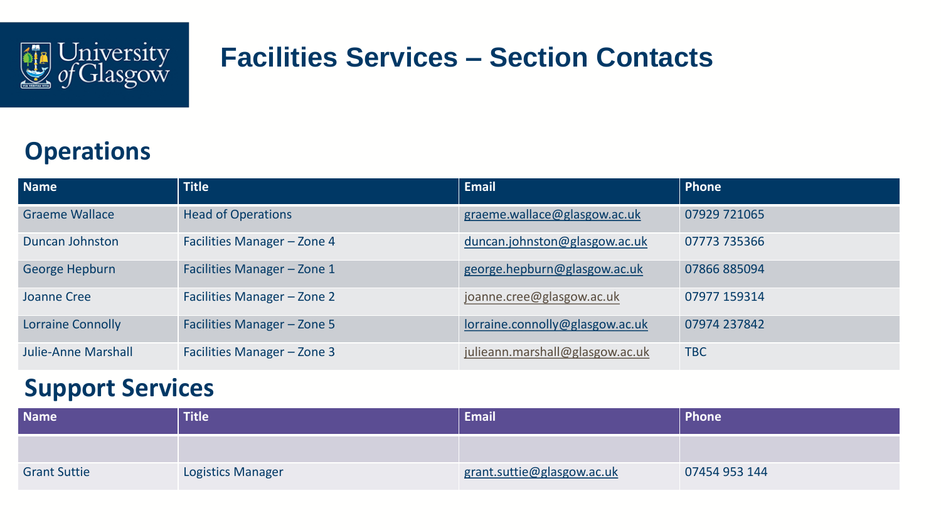

# **Facilities Services – Section Contacts**

## **Operations**

| <b>Name</b>                | <b>Title</b>                | <b>Email</b>                    | Phone        |
|----------------------------|-----------------------------|---------------------------------|--------------|
| <b>Graeme Wallace</b>      | <b>Head of Operations</b>   | graeme.wallace@glasgow.ac.uk    | 07929 721065 |
| Duncan Johnston            | Facilities Manager - Zone 4 | duncan.johnston@glasgow.ac.uk   | 07773 735366 |
| <b>George Hepburn</b>      | Facilities Manager - Zone 1 | george.hepburn@glasgow.ac.uk    | 07866885094  |
| Joanne Cree                | Facilities Manager - Zone 2 | joanne.cree@glasgow.ac.uk       | 07977 159314 |
| <b>Lorraine Connolly</b>   | Facilities Manager - Zone 5 | lorraine.connolly@glasgow.ac.uk | 07974 237842 |
| <b>Julie-Anne Marshall</b> | Facilities Manager - Zone 3 | julieann.marshall@glasgow.ac.uk | <b>TBC</b>   |

### **Support Services**

| <b>Name</b>         | <b>Title</b>             | <b>Email</b>               | Phone         |
|---------------------|--------------------------|----------------------------|---------------|
|                     |                          |                            |               |
| <b>Grant Suttie</b> | <b>Logistics Manager</b> | grant.suttie@glasgow.ac.uk | 07454 953 144 |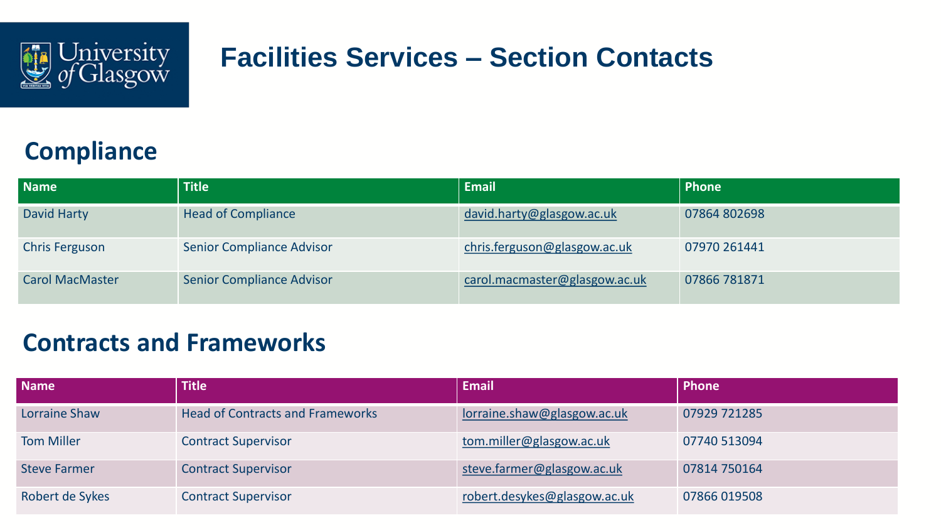

# **Facilities Services – Section Contacts**

## **Compliance**

| <b>Name</b>            | <b>Title</b>                     | <b>Email</b>                  | Phone        |
|------------------------|----------------------------------|-------------------------------|--------------|
| David Harty            | <b>Head of Compliance</b>        | david.harty@glasgow.ac.uk     | 07864 802698 |
| <b>Chris Ferguson</b>  | <b>Senior Compliance Advisor</b> | chris.ferguson@glasgow.ac.uk  | 07970 261441 |
| <b>Carol MacMaster</b> | <b>Senior Compliance Advisor</b> | carol.macmaster@glasgow.ac.uk | 07866 781871 |

#### **Contracts and Frameworks**

| <b>Name</b>          | <b>Title</b>                            | <b>Email</b>                 | <b>Phone</b> |
|----------------------|-----------------------------------------|------------------------------|--------------|
| <b>Lorraine Shaw</b> | <b>Head of Contracts and Frameworks</b> | lorraine.shaw@glasgow.ac.uk  | 07929 721285 |
| <b>Tom Miller</b>    | <b>Contract Supervisor</b>              | tom.miller@glasgow.ac.uk     | 07740 513094 |
| <b>Steve Farmer</b>  | <b>Contract Supervisor</b>              | steve.farmer@glasgow.ac.uk   | 07814 750164 |
| Robert de Sykes      | <b>Contract Supervisor</b>              | robert.desykes@glasgow.ac.uk | 07866 019508 |